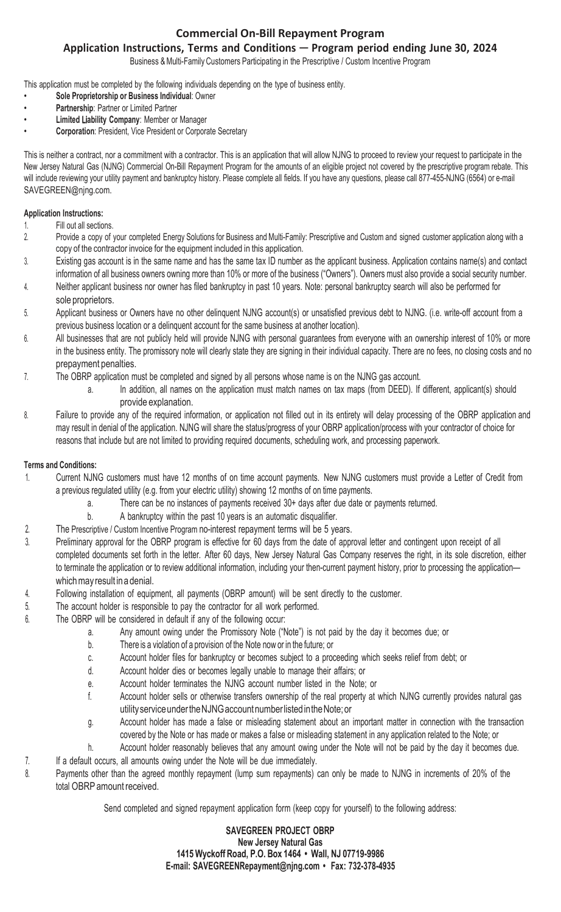## **Commercial On-Bill Repayment Program**

## **Application Instructions, Terms and Conditions** ─ **Program period ending June 30, 2024**

Business & Multi-Family Customers Participating in the Prescriptive / Custom Incentive Program

This application must be completed by the following individuals depending on the type of business entity.

- **Sole Proprietorship or Business Individual**: Owner
- **Partnership**: Partner or Limited Partner
- **Limited** Li**ability Company**: Member or Manager
- **Corporation**: President, Vice President or Corporate Secretary

This is neither a contract, nor a commitment with a contractor. This is an application that will allow NJNG to proceed to review your request to participate in the New Jersey Natural Gas (NJNG) Commercial On-Bill Repayment Program for the amounts of an eligible project not covered by the prescriptive program rebate. This will include reviewing your utility payment and bankruptcy history. Please complete all fields. If you have any questions, please call 877-455-NJNG (6564) or e-mail [SAVEGREEN@njng.com.](mailto:SAVEGREEN@njng.com)

#### **Application Instructions:**

- 1. Fill out all sections.
- 2. Provide a copy of your completed Energy Solutions for Business and Multi-Family: Prescriptive and Custom and signed customer application along with a copy of the contractor invoice for the equipment included in this application.
- 3. Existing gas account is in the same name and has the same tax ID number as the applicant business. Application contains name(s) and contact information of all business owners owning more than 10% or more of the business ("Owners"). Owners must also provide a social security number.
- 4. Neither applicant business nor owner has filed bankruptcy in past 10 years. Note: personal bankruptcy search will also be performed for sole proprietors.
- 5. Applicant business or Owners have no other delinquent NJNG account(s) or unsatisfied previous debt to NJNG. (i.e. write-off account from a previous business location or a delinquent account for the same business at another location).
- 6. All businesses that are not publicly held will provide NJNG with personal guarantees from everyone with an ownership interest of 10% or more in the business entity. The promissory note will clearly state they are signing in their individual capacity. There are no fees, no closing costs and no prepayment penalties.

7. The OBRP application must be completed and signed by all persons whose name is on the NJNG gas account.

- a. In addition, all names on the application must match names on tax maps (from DEED). If different, applicant(s) should provide explanation.
- 8. Failure to provide any of the required information, or application not filled out in its entirety will delay processing of the OBRP application and may result in denial of the application. NJNG will share the status/progress of your OBRP application/process with your contractor of choice for reasons that include but are not limited to providing required documents, scheduling work, and processing paperwork.

### **Terms and Conditions:**

- 1. Current NJNG customers must have 12 months of on time account payments. New NJNG customers must provide a Letter of Credit from a previous regulated utility (e.g. from your electric utility) showing 12 months of on time payments.
	- a. There can be no instances of payments received 30+ days after due date or payments returned.
	- b. A bankruptcy within the past 10 years is an automatic disqualifier.
- 2. The Prescriptive / Custom Incentive Program no-interest repayment terms will be 5 years.
- 3. Preliminary approval for the OBRP program is effective for 60 days from the date of approval letter and contingent upon receipt of all completed documents set forth in the letter. After 60 days, New Jersey Natural Gas Company reserves the right, in its sole discretion, either to terminate the application or to review additional information, including your then-current payment history, prior to processing the application which may result ina denial.
- 4. Following installation of equipment, all payments (OBRP amount) will be sent directly to the customer.
- 5. The account holder is responsible to pay the contractor for all work performed.
- 6. The OBRP will be considered in default if any of the following occur:
	- a. Any amount owing under the Promissory Note ("Note") is not paid by the day it becomes due; or
	- b. There is a violation of a provision of the Note now or in the future; or
	- c. Account holder files for bankruptcy or becomes subject to a proceeding which seeks relief from debt; or
	- d. Account holder dies or becomes legally unable to manage their affairs; or
	- e. Account holder terminates the NJNG account number listed in the Note; or
	- f. Account holder sells or otherwise transfers ownership of the real property at which NJNG currently provides natural gas utility service underthe NJNG account number listed inthe Note; or
	- g. Account holder has made a false or misleading statement about an important matter in connection with the transaction covered by the Note or has made or makes a false or misleading statement in any application related to the Note; or
	- Account holder reasonably believes that any amount owing under the Note will not be paid by the day it becomes due.
- 7. If a default occurs, all amounts owing under the Note will be due immediately.
- 8. Payments other than the agreed monthly repayment (lump sum repayments) can only be made to NJNG in increments of 20% of the total OBRP amount received.

Send completed and signed repayment application form (keep copy for yourself) to the following address:

### **SAVEGREEN PROJECT OBRP New Jersey Natural Gas 1415 Wyckoff Road, P.O. Box 1464 • Wall, NJ 07719-9986 E-mail: [SAVEGREENRepayment@njng.com](mailto:SAVEGREENRepayment@njng.com) • Fax: 732-378-4935**